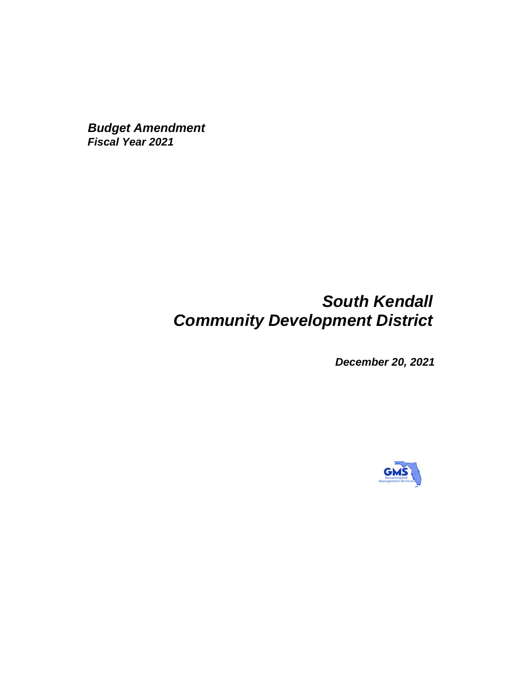*Budget Amendment Fiscal Year 2021*

# *South Kendall Community Development District*

*December 20, 2021*

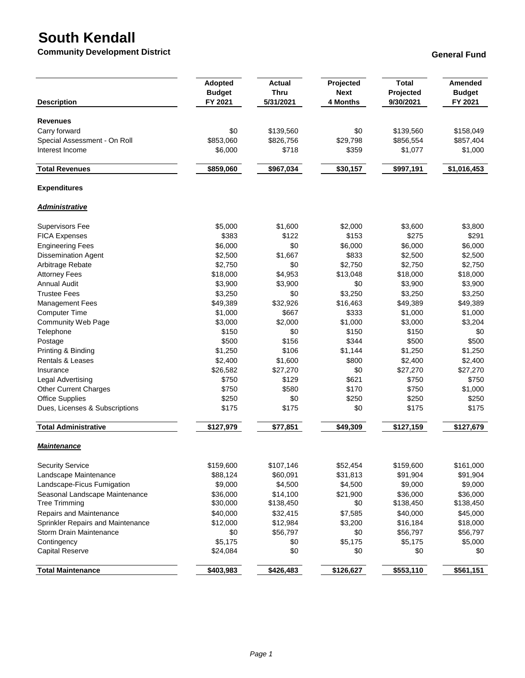## **South Kendall**

**Community Development District General Fund** 

| <b>Description</b>                | <b>Adopted</b><br><b>Budget</b><br>FY 2021 | <b>Actual</b><br><b>Thru</b><br>5/31/2021 | Projected<br><b>Next</b><br>4 Months | <b>Total</b><br>Projected<br>9/30/2021 | Amended<br><b>Budget</b><br>FY 2021 |
|-----------------------------------|--------------------------------------------|-------------------------------------------|--------------------------------------|----------------------------------------|-------------------------------------|
|                                   |                                            |                                           |                                      |                                        |                                     |
| <b>Revenues</b>                   |                                            |                                           |                                      |                                        |                                     |
| Carry forward                     | \$0                                        | \$139,560                                 | \$0                                  | \$139,560                              | \$158,049                           |
| Special Assessment - On Roll      | \$853,060                                  | \$826,756                                 | \$29,798                             | \$856,554                              | \$857,404                           |
| Interest Income                   | \$6,000                                    | \$718                                     | \$359                                | \$1,077                                | \$1,000                             |
| <b>Total Revenues</b>             | \$859,060                                  | \$967,034                                 | \$30,157                             | \$997,191                              | \$1,016,453                         |
| <b>Expenditures</b>               |                                            |                                           |                                      |                                        |                                     |
| <b>Administrative</b>             |                                            |                                           |                                      |                                        |                                     |
| <b>Supervisors Fee</b>            | \$5,000                                    | \$1,600                                   | \$2,000                              | \$3,600                                | \$3,800                             |
| <b>FICA Expenses</b>              | \$383                                      | \$122                                     | \$153                                | \$275                                  | \$291                               |
| <b>Engineering Fees</b>           | \$6,000                                    | \$0                                       | \$6,000                              | \$6,000                                | \$6,000                             |
| <b>Dissemination Agent</b>        | \$2,500                                    | \$1,667                                   | \$833                                | \$2,500                                | \$2,500                             |
| Arbitrage Rebate                  | \$2,750                                    | \$0                                       | \$2,750                              | \$2,750                                | \$2,750                             |
| <b>Attorney Fees</b>              | \$18,000                                   | \$4,953                                   | \$13,048                             | \$18,000                               | \$18,000                            |
| <b>Annual Audit</b>               | \$3,900                                    | \$3,900                                   | \$0                                  | \$3,900                                | \$3,900                             |
| <b>Trustee Fees</b>               | \$3,250                                    | \$0                                       | \$3,250                              | \$3,250                                | \$3,250                             |
| <b>Management Fees</b>            | \$49,389                                   | \$32,926                                  | \$16,463                             | \$49,389                               | \$49,389                            |
| <b>Computer Time</b>              | \$1,000                                    | \$667                                     | \$333                                | \$1,000                                | \$1,000                             |
| <b>Community Web Page</b>         | \$3,000                                    | \$2,000                                   | \$1,000                              | \$3,000                                | \$3,204                             |
| Telephone                         | \$150                                      | \$0                                       | \$150                                | \$150                                  | \$0                                 |
| Postage                           | \$500                                      | \$156                                     | \$344                                | \$500                                  | \$500                               |
| Printing & Binding                | \$1,250                                    | \$106                                     | \$1,144                              | \$1,250                                | \$1,250                             |
| Rentals & Leases                  | \$2,400                                    | \$1,600                                   | \$800                                | \$2,400                                | \$2,400                             |
| Insurance                         | \$26,582                                   | \$27,270                                  | \$0                                  | \$27,270                               | \$27,270                            |
| Legal Advertising                 | \$750                                      | \$129                                     | \$621                                | \$750                                  | \$750                               |
| Other Current Charges             | \$750                                      | \$580                                     | \$170                                | \$750                                  | \$1,000                             |
| <b>Office Supplies</b>            | \$250                                      | \$0                                       | \$250                                | \$250                                  | \$250                               |
| Dues, Licenses & Subscriptions    | \$175                                      | \$175                                     | \$0                                  | \$175                                  | \$175                               |
| <b>Total Administrative</b>       | \$127,979                                  | \$77,851                                  | \$49,309                             | \$127,159                              | \$127,679                           |
| <b>Maintenance</b>                |                                            |                                           |                                      |                                        |                                     |
| <b>Security Service</b>           | \$159,600                                  | \$107,146                                 | \$52,454                             | \$159,600                              | \$161,000                           |
| Landscape Maintenance             | \$88,124                                   | \$60,091                                  | \$31,813                             | \$91,904                               | \$91,904                            |
| Landscape-Ficus Fumigation        | \$9,000                                    | \$4,500                                   | \$4,500                              | \$9,000                                | \$9,000                             |
| Seasonal Landscape Maintenance    | \$36,000                                   | \$14,100                                  | \$21,900                             | \$36,000                               | \$36,000                            |
| <b>Tree Trimming</b>              | \$30,000                                   | \$138,450                                 | \$0                                  | \$138,450                              | \$138,450                           |
| Repairs and Maintenance           | \$40,000                                   | \$32,415                                  | \$7,585                              | \$40,000                               | \$45,000                            |
| Sprinkler Repairs and Maintenance | \$12,000                                   | \$12,984                                  | \$3,200                              | \$16,184                               | \$18,000                            |
| Storm Drain Maintenance           | \$0                                        | \$56,797                                  | \$0                                  | \$56,797                               | \$56,797                            |
| Contingency                       | \$5,175                                    | \$0                                       | \$5,175                              | \$5,175                                | \$5,000                             |
| <b>Capital Reserve</b>            | \$24,084                                   | \$0                                       | \$0                                  | \$0                                    | \$0                                 |
| <b>Total Maintenance</b>          | \$403,983                                  | \$426,483                                 | \$126,627                            | \$553,110                              | \$561,151                           |